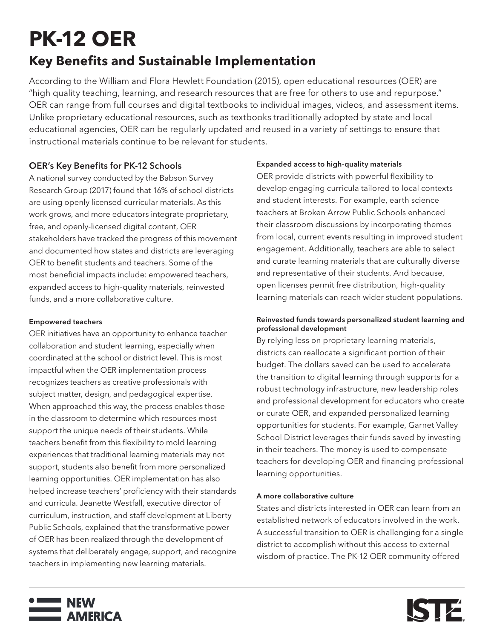# **PK-12 OER**

# **Key Benefits and Sustainable Implementation**

According to the [William and Flora Hewlett Foundation](https://hewlett.org/wp-content/uploads/2017/02/OER-strategy-memo.pdf) (2015), open educational resources (OER) are "high quality teaching, learning, and research resources that are free for others to use and repurpose." OER can range from full courses and digital textbooks to individual images, videos, and assessment items. Unlike proprietary educational resources, such as textbooks traditionally adopted by state and local educational agencies, OER can be regularly updated and reused in a variety of settings to ensure that instructional materials continue to be relevant for students.

# OER's Key Benefits for PK-12 Schools

A national survey conducted by the Babson Survey Research Group (2017) found that 16% of school districts are using openly licensed curricular materials. As this work grows, and more educators integrate proprietary, free, and openly-licensed digital content, OER stakeholders have tracked the progress of this movement and documented how states and districts are leveraging OER to benefit students and teachers. Some of the most beneficial impacts include: empowered teachers, expanded access to high-quality materials, reinvested funds, and a more collaborative culture.

# Empowered teachers

OER initiatives have an opportunity to enhance teacher collaboration and student learning, especially when coordinated at the school or district level. This is most impactful when the OER implementation process recognizes teachers as creative professionals with subject matter, design, and pedagogical expertise. When approached this way, the process enables those in the classroom to determine which resources most support the unique needs of their students. While teachers benefit from this flexibility to mold learning experiences that traditional learning materials may not support, students also benefit from more personalized learning opportunities. OER implementation has also helped increase teachers' proficiency with their standards and curricula. Jeanette Westfall, executive director of curriculum, instruction, and staff development at Liberty Public Schools, explained that the transformative power of OER has been realized through the development of systems that deliberately engage, support, and recognize teachers in implementing new learning materials.

# Expanded access to high-quality materials

OER provide districts with powerful flexibility to develop engaging curricula tailored to local contexts and student interests. For example, earth science teachers at Broken Arrow Public Schools enhanced their classroom discussions by incorporating themes from local, current events resulting in improved student engagement. Additionally, teachers are able to select and curate learning materials that are culturally diverse and representative of their students. And because, open licenses permit free distribution, high-quality learning materials can reach wider student populations.

### Reinvested funds towards personalized student learning and professional development

By relying less on proprietary learning materials, districts can reallocate a significant portion of their budget. The dollars saved can be used to accelerate the transition to digital learning through supports for a robust technology infrastructure, new leadership roles and professional development for educators who create or curate OER, and expanded personalized learning opportunities for students. For example, Garnet Valley School District leverages their funds saved by investing in their teachers. The money is used to compensate teachers for developing OER and financing professional learning opportunities.

### A more collaborative culture

States and districts interested in OER can learn from an established network of educators involved in the work. A successful transition to OER is challenging for a single district to accomplish without this access to external wisdom of practice. The PK-12 OER community offered